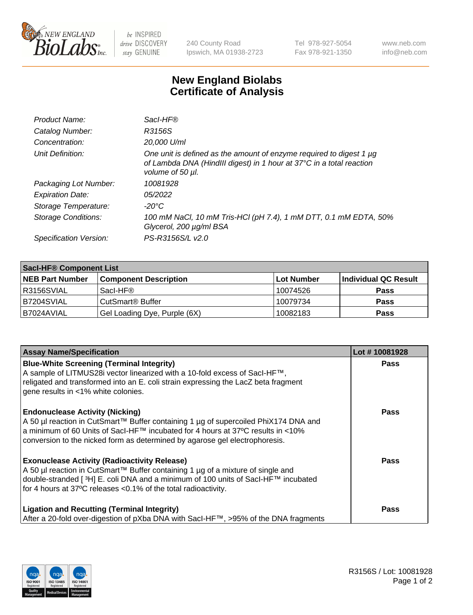

 $be$  INSPIRED drive DISCOVERY stay GENUINE

240 County Road Ipswich, MA 01938-2723 Tel 978-927-5054 Fax 978-921-1350 www.neb.com info@neb.com

## **New England Biolabs Certificate of Analysis**

| Product Name:              | Sacl-HF®                                                                                                                                                        |
|----------------------------|-----------------------------------------------------------------------------------------------------------------------------------------------------------------|
| Catalog Number:            | R3156S                                                                                                                                                          |
| Concentration:             | 20,000 U/ml                                                                                                                                                     |
| Unit Definition:           | One unit is defined as the amount of enzyme required to digest 1 µg<br>of Lambda DNA (HindIII digest) in 1 hour at 37°C in a total reaction<br>volume of 50 µl. |
| Packaging Lot Number:      | 10081928                                                                                                                                                        |
| <b>Expiration Date:</b>    | 05/2022                                                                                                                                                         |
| Storage Temperature:       | -20°C                                                                                                                                                           |
| <b>Storage Conditions:</b> | 100 mM NaCl, 10 mM Tris-HCl (pH 7.4), 1 mM DTT, 0.1 mM EDTA, 50%<br>Glycerol, 200 µg/ml BSA                                                                     |
| Specification Version:     | PS-R3156S/L v2.0                                                                                                                                                |

| <b>Saci-HF® Component List</b> |                              |             |                      |  |  |
|--------------------------------|------------------------------|-------------|----------------------|--|--|
| <b>NEB Part Number</b>         | <b>Component Description</b> | ∣Lot Number | Individual QC Result |  |  |
| I R3156SVIAL                   | Sacl-HF®                     | 10074526    | <b>Pass</b>          |  |  |
| B7204SVIAL                     | CutSmart <sup>®</sup> Buffer | 10079734    | <b>Pass</b>          |  |  |
| B7024AVIAL                     | Gel Loading Dye, Purple (6X) | 10082183    | <b>Pass</b>          |  |  |

| <b>Assay Name/Specification</b>                                                                                                                                                                                                                                                                            | Lot #10081928 |
|------------------------------------------------------------------------------------------------------------------------------------------------------------------------------------------------------------------------------------------------------------------------------------------------------------|---------------|
| <b>Blue-White Screening (Terminal Integrity)</b><br>A sample of LITMUS28i vector linearized with a 10-fold excess of SacI-HF™,<br>religated and transformed into an E. coli strain expressing the LacZ beta fragment<br>gene results in <1% white colonies.                                                | <b>Pass</b>   |
| <b>Endonuclease Activity (Nicking)</b><br>A 50 µl reaction in CutSmart™ Buffer containing 1 µg of supercoiled PhiX174 DNA and<br>a minimum of 60 Units of Sacl-HF™ incubated for 4 hours at 37°C results in <10%<br>conversion to the nicked form as determined by agarose gel electrophoresis.            | Pass          |
| <b>Exonuclease Activity (Radioactivity Release)</b><br>A 50 µl reaction in CutSmart™ Buffer containing 1 µg of a mixture of single and<br>double-stranded [ <sup>3</sup> H] E. coli DNA and a minimum of 100 units of Sacl-HF™ incubated<br>for 4 hours at 37°C releases <0.1% of the total radioactivity. | <b>Pass</b>   |
| <b>Ligation and Recutting (Terminal Integrity)</b><br>After a 20-fold over-digestion of pXba DNA with Sacl-HF™, >95% of the DNA fragments                                                                                                                                                                  | Pass          |